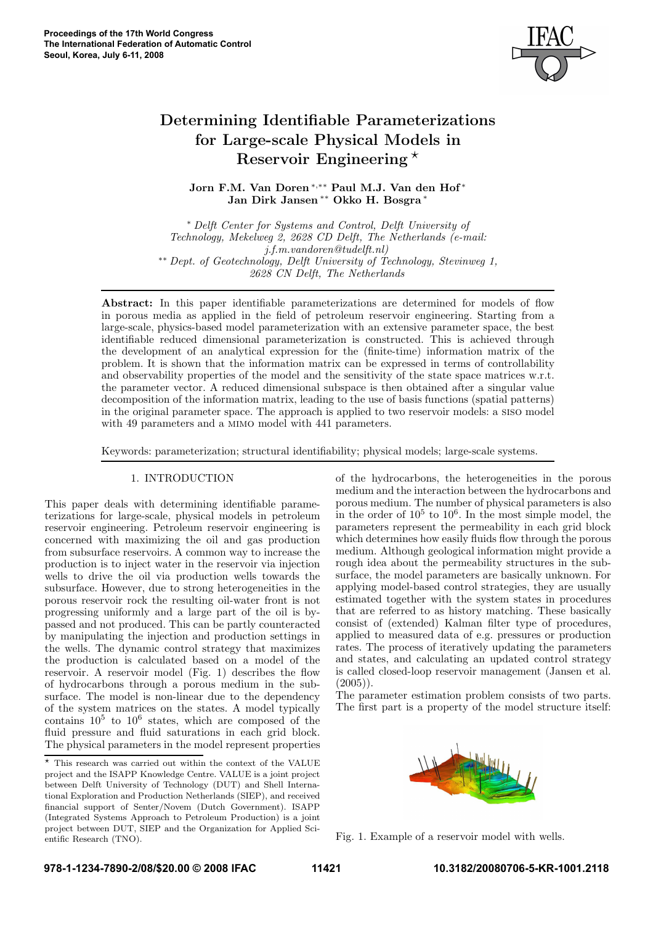

# Determining Identifiable Parameterizations for Large-scale Physical Models in Reservoir Engineering ⋆

Jorn F.M. Van Doren\*,\*\* Paul M.J. Van den Hof\* Jan Dirk Jansen<sup>\*\*</sup> Okko H. Bosgra<sup>\*</sup>

<sup>∗</sup> Delft Center for Systems and Control, Delft University of Technology, Mekelweg 2, 2628 CD Delft, The Netherlands (e-mail: j.f.m.vandoren@tudelft.nl) ∗∗ Dept. of Geotechnology, Delft University of Technology, Stevinweg 1, 2628 CN Delft, The Netherlands

Abstract: In this paper identifiable parameterizations are determined for models of flow in porous media as applied in the field of petroleum reservoir engineering. Starting from a large-scale, physics-based model parameterization with an extensive parameter space, the best identifiable reduced dimensional parameterization is constructed. This is achieved through the development of an analytical expression for the (finite-time) information matrix of the problem. It is shown that the information matrix can be expressed in terms of controllability and observability properties of the model and the sensitivity of the state space matrices w.r.t. the parameter vector. A reduced dimensional subspace is then obtained after a singular value decomposition of the information matrix, leading to the use of basis functions (spatial patterns) in the original parameter space. The approach is applied to two reservoir models: a siso model with 49 parameters and a MIMO model with 441 parameters.

Keywords: parameterization; structural identifiability; physical models; large-scale systems.

# 1. INTRODUCTION

This paper deals with determining identifiable parameterizations for large-scale, physical models in petroleum reservoir engineering. Petroleum reservoir engineering is concerned with maximizing the oil and gas production from subsurface reservoirs. A common way to increase the production is to inject water in the reservoir via injection wells to drive the oil via production wells towards the subsurface. However, due to strong heterogeneities in the porous reservoir rock the resulting oil-water front is not progressing uniformly and a large part of the oil is bypassed and not produced. This can be partly counteracted by manipulating the injection and production settings in the wells. The dynamic control strategy that maximizes the production is calculated based on a model of the reservoir. A reservoir model (Fig. 1) describes the flow of hydrocarbons through a porous medium in the subsurface. The model is non-linear due to the dependency of the system matrices on the states. A model typically contains  $10^5$  to  $10^6$  states, which are composed of the fluid pressure and fluid saturations in each grid block. The physical parameters in the model represent properties of the hydrocarbons, the heterogeneities in the porous medium and the interaction between the hydrocarbons and porous medium. The number of physical parameters is also in the order of  $10^5$  to  $10^6$ . In the most simple model, the parameters represent the permeability in each grid block which determines how easily fluids flow through the porous medium. Although geological information might provide a rough idea about the permeability structures in the subsurface, the model parameters are basically unknown. For applying model-based control strategies, they are usually estimated together with the system states in procedures that are referred to as history matching. These basically consist of (extended) Kalman filter type of procedures, applied to measured data of e.g. pressures or production rates. The process of iteratively updating the parameters and states, and calculating an updated control strategy is called closed-loop reservoir management (Jansen et al.  $(2005)$ 

The parameter estimation problem consists of two parts. The first part is a property of the model structure itself:



Fig. 1. Example of a reservoir model with wells.

 $\star$  This research was carried out within the context of the VALUE project and the ISAPP Knowledge Centre. VALUE is a joint project between Delft University of Technology (DUT) and Shell International Exploration and Production Netherlands (SIEP), and received financial support of Senter/Novem (Dutch Government). ISAPP (Integrated Systems Approach to Petroleum Production) is a joint project between DUT, SIEP and the Organization for Applied Scientific Research (TNO).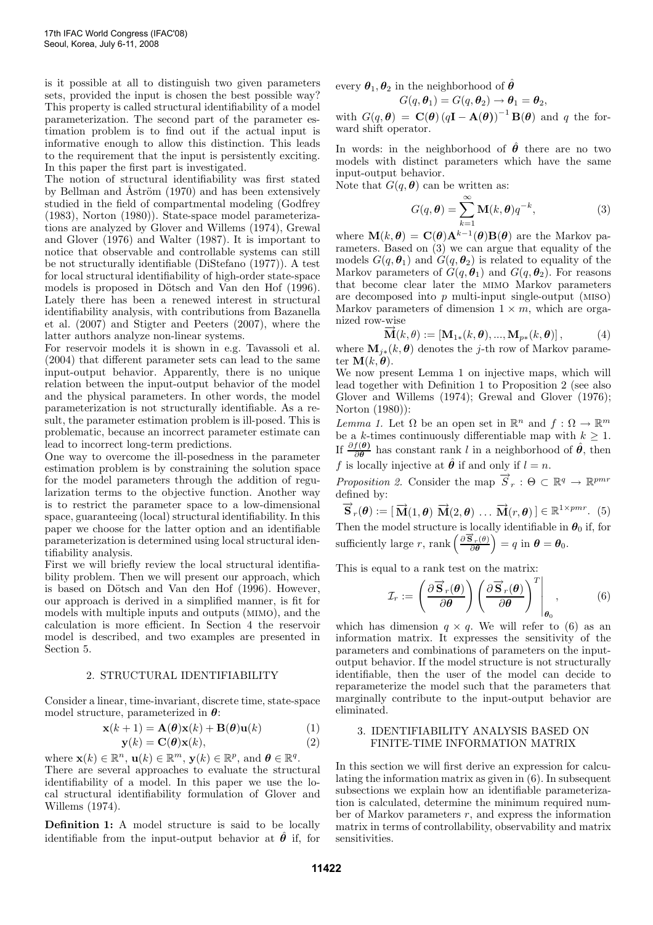is it possible at all to distinguish two given parameters sets, provided the input is chosen the best possible way? This property is called structural identifiability of a model parameterization. The second part of the parameter estimation problem is to find out if the actual input is informative enough to allow this distinction. This leads to the requirement that the input is persistently exciting. In this paper the first part is investigated.

The notion of structural identifiability was first stated by Bellman and Åström (1970) and has been extensively studied in the field of compartmental modeling (Godfrey (1983), Norton (1980)). State-space model parameterizations are analyzed by Glover and Willems (1974), Grewal and Glover (1976) and Walter (1987). It is important to notice that observable and controllable systems can still be not structurally identifiable (DiStefano (1977)). A test for local structural identifiability of high-order state-space models is proposed in Dötsch and Van den Hof (1996). Lately there has been a renewed interest in structural identifiability analysis, with contributions from Bazanella et al. (2007) and Stigter and Peeters (2007), where the latter authors analyze non-linear systems.

For reservoir models it is shown in e.g. Tavassoli et al. (2004) that different parameter sets can lead to the same input-output behavior. Apparently, there is no unique relation between the input-output behavior of the model and the physical parameters. In other words, the model parameterization is not structurally identifiable. As a result, the parameter estimation problem is ill-posed. This is problematic, because an incorrect parameter estimate can lead to incorrect long-term predictions.

One way to overcome the ill-posedness in the parameter estimation problem is by constraining the solution space for the model parameters through the addition of regularization terms to the objective function. Another way is to restrict the parameter space to a low-dimensional space, guaranteeing (local) structural identifiability. In this paper we choose for the latter option and an identifiable parameterization is determined using local structural identifiability analysis.

First we will briefly review the local structural identifiability problem. Then we will present our approach, which is based on Dötsch and Van den Hof (1996). However, our approach is derived in a simplified manner, is fit for models with multiple inputs and outputs (mimo), and the calculation is more efficient. In Section 4 the reservoir model is described, and two examples are presented in Section 5.

#### 2. STRUCTURAL IDENTIFIABILITY

Consider a linear, time-invariant, discrete time, state-space model structure, parameterized in  $\theta$ :

$$
\mathbf{x}(k+1) = \mathbf{A}(\boldsymbol{\theta})\mathbf{x}(k) + \mathbf{B}(\boldsymbol{\theta})\mathbf{u}(k)
$$
(1)  

$$
\mathbf{y}(k) = \mathbf{C}(\boldsymbol{\theta})\mathbf{x}(k),
$$
(2)

where  $\mathbf{x}(k) \in \mathbb{R}^n$ ,  $\mathbf{u}(k) \in \mathbb{R}^m$ ,  $\mathbf{y}(k) \in \mathbb{R}^p$ , and  $\boldsymbol{\theta} \in \mathbb{R}^q$ . There are several approaches to evaluate the structural identifiability of a model. In this paper we use the local structural identifiability formulation of Glover and Willems (1974).

Definition 1: A model structure is said to be locally identifiable from the input-output behavior at  $\hat{\theta}$  if, for every  $\theta_1, \theta_2$  in the neighborhood of  $\hat{\theta}$ 

$$
G(q, \theta_1) = G(q, \theta_2) \rightarrow \theta_1 = \theta_2,
$$

with  $G(q, \theta) = \mathbf{C}(\theta) (q\mathbf{I} - \mathbf{A}(\theta))^{-1} \mathbf{B}(\theta)$  and q the forward shift operator.

In words: in the neighborhood of  $\hat{\theta}$  there are no two models with distinct parameters which have the same input-output behavior.

Note that  $G(q, \theta)$  can be written as:

$$
G(q, \theta) = \sum_{k=1}^{\infty} \mathbf{M}(k, \theta) q^{-k},
$$
 (3)

where  $\mathbf{M}(k, \theta) = \mathbf{C}(\theta) \mathbf{A}^{k-1}(\theta) \mathbf{B}(\theta)$  are the Markov parameters. Based on (3) we can argue that equality of the models  $G(q, \theta_1)$  and  $G(q, \theta_2)$  is related to equality of the Markov parameters of  $G(q, \theta_1)$  and  $G(q, \theta_2)$ . For reasons that become clear later the mimo Markov parameters are decomposed into  $p$  multi-input single-output (MISO) Markov parameters of dimension  $1 \times m$ , which are organized row-wise

$$
\overrightarrow{\mathbf{M}}(k,\theta) := [\mathbf{M}_{1*}(k,\theta), ..., \mathbf{M}_{p*}(k,\theta)],
$$
\n(4)

where  $\mathbf{M}_{i*}(k, \theta)$  denotes the j-th row of Markov parameter  $\mathbf{M}(k, \theta)$ .

We now present Lemma 1 on injective maps, which will lead together with Definition 1 to Proposition 2 (see also Glover and Willems (1974); Grewal and Glover (1976); Norton (1980)):

Lemma 1. Let  $\Omega$  be an open set in  $\mathbb{R}^n$  and  $f: \Omega \to \mathbb{R}^m$ be a k-times continuously differentiable map with  $k \geq 1$ . If  $\frac{\partial f(\boldsymbol{\theta})}{\partial \boldsymbol{\theta}}$  $\frac{f(\theta)}{\partial \theta}$  has constant rank l in a neighborhood of  $\hat{\theta}$ , then f is locally injective at  $\hat{\theta}$  if and only if  $l = n$ .

Proposition 2. Consider the map  $\overrightarrow{S}_r : \Theta \subset \mathbb{R}^q \to \mathbb{R}^{pmr}$ defined by:

 $\overrightarrow{\mathbf{S}}_r(\boldsymbol{\theta}) := [\overrightarrow{\mathbf{M}}(1,\boldsymbol{\theta}) \ \overrightarrow{\mathbf{M}}(2,\boldsymbol{\theta}) \ \dots \ \overrightarrow{\mathbf{M}}(r,\boldsymbol{\theta})] \in \mathbb{R}^{1 \times pmr}$ . (5) Then the model structure is locally identifiable in  $\theta_0$  if, for sufficiently large r, rank  $\left(\frac{\partial \vec{S}_r(\theta)}{\partial \theta}\right) = q$  in  $\theta = \theta_0$ .

This is equal to a rank test on the matrix:

$$
\mathcal{I}_r := \left(\frac{\partial \overrightarrow{\mathbf{S}}_r(\boldsymbol{\theta})}{\partial \boldsymbol{\theta}}\right) \left(\frac{\partial \overrightarrow{\mathbf{S}}_r(\boldsymbol{\theta})}{\partial \boldsymbol{\theta}}\right)^T \Bigg|_{\boldsymbol{\theta}_0},\tag{6}
$$

which has dimension  $q \times q$ . We will refer to (6) as an information matrix. It expresses the sensitivity of the parameters and combinations of parameters on the inputoutput behavior. If the model structure is not structurally identifiable, then the user of the model can decide to reparameterize the model such that the parameters that marginally contribute to the input-output behavior are eliminated.

# 3. IDENTIFIABILITY ANALYSIS BASED ON FINITE-TIME INFORMATION MATRIX

In this section we will first derive an expression for calculating the information matrix as given in (6). In subsequent subsections we explain how an identifiable parameterization is calculated, determine the minimum required number of Markov parameters  $r$ , and express the information matrix in terms of controllability, observability and matrix sensitivities.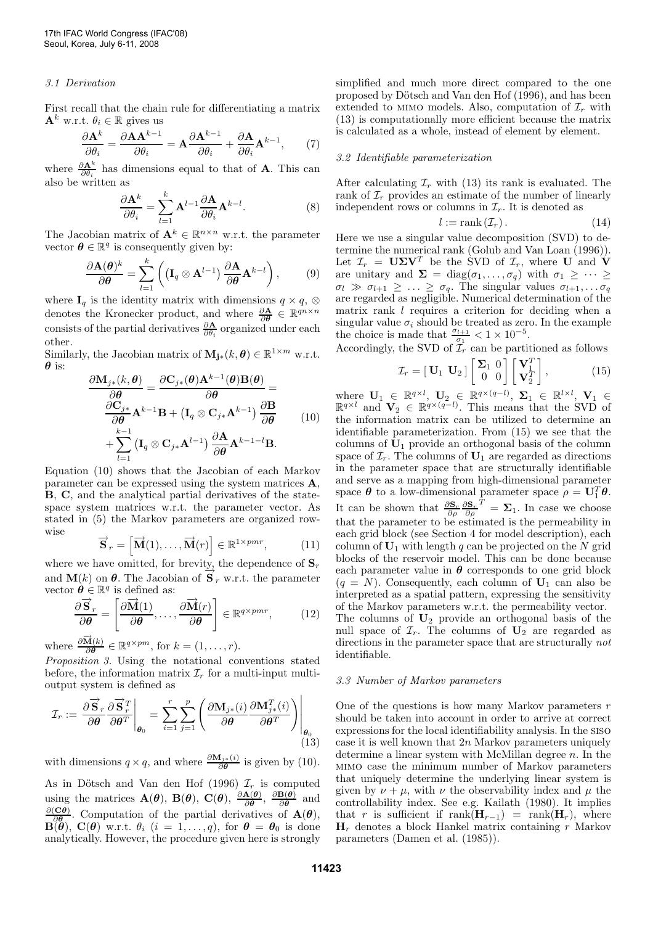## 3.1 Derivation

First recall that the chain rule for differentiating a matrix  $\mathbf{A}^{k}$  w.r.t.  $\theta_{i} \in \mathbb{R}$  gives us

$$
\frac{\partial \mathbf{A}^k}{\partial \theta_i} = \frac{\partial \mathbf{A} \mathbf{A}^{k-1}}{\partial \theta_i} = \mathbf{A} \frac{\partial \mathbf{A}^{k-1}}{\partial \theta_i} + \frac{\partial \mathbf{A}}{\partial \theta_i} \mathbf{A}^{k-1},\tag{7}
$$

where  $\frac{\partial \mathbf{A}^k}{\partial \theta_i}$  has dimensions equal to that of **A**. This can also be written as

$$
\frac{\partial \mathbf{A}^k}{\partial \theta_i} = \sum_{l=1}^k \mathbf{A}^{l-1} \frac{\partial \mathbf{A}}{\partial \theta_i} \mathbf{A}^{k-l}.
$$
 (8)

The Jacobian matrix of  $\mathbf{A}^k \in \mathbb{R}^{n \times n}$  w.r.t. the parameter vector  $\boldsymbol{\theta} \in \mathbb{R}^q$  is consequently given by:

$$
\frac{\partial \mathbf{A}(\boldsymbol{\theta})^k}{\partial \boldsymbol{\theta}} = \sum_{l=1}^k \left( (\mathbf{I}_q \otimes \mathbf{A}^{l-1}) \frac{\partial \mathbf{A}}{\partial \boldsymbol{\theta}} \mathbf{A}^{k-l} \right), \quad (9)
$$

where  $\mathbf{I}_q$  is the identity matrix with dimensions  $q \times q$ , ⊗ denotes the Kronecker product, and where  $\frac{\partial \mathbf{A}}{\partial \theta} \in \mathbb{R}^{qn \times n}$ consists of the partial derivatives  $\frac{\partial \mathbf{A}}{\partial \theta_i}$  organized under each other.

Similarly, the Jacobian matrix of  $M_{j*}(k, \theta) \in \mathbb{R}^{1 \times m}$  w.r.t.  $\boldsymbol{\theta}$  is:

$$
\frac{\partial \mathbf{M}_{j*}(k,\boldsymbol{\theta})}{\partial \boldsymbol{\theta}} = \frac{\partial \mathbf{C}_{j*}(\boldsymbol{\theta}) \mathbf{A}^{k-1}(\boldsymbol{\theta}) \mathbf{B}(\boldsymbol{\theta})}{\partial \boldsymbol{\theta}} = \n\frac{\partial \mathbf{C}_{j*}}{\partial \boldsymbol{\theta}} \mathbf{A}^{k-1} \mathbf{B} + (\mathbf{I}_q \otimes \mathbf{C}_{j*} \mathbf{A}^{k-1}) \frac{\partial \mathbf{B}}{\partial \boldsymbol{\theta}} \n+ \sum_{l=1}^{k-1} (\mathbf{I}_q \otimes \mathbf{C}_{j*} \mathbf{A}^{l-1}) \frac{\partial \mathbf{A}}{\partial \boldsymbol{\theta}} \mathbf{A}^{k-1-l} \mathbf{B}.
$$
\n(10)

Equation (10) shows that the Jacobian of each Markov parameter can be expressed using the system matrices A, B, C, and the analytical partial derivatives of the statespace system matrices w.r.t. the parameter vector. As stated in (5) the Markov parameters are organized rowwise  $\overrightarrow{S}_r =$ 

$$
\overrightarrow{\mathbf{S}}_{r} = \begin{bmatrix} \overrightarrow{\mathbf{M}}(1), \dots, \overrightarrow{\mathbf{M}}(r) \end{bmatrix} \in \mathbb{R}^{1 \times pmr},\tag{11}
$$

where we have omitted, for brevity, the dependence of  $\mathbf{S}_r$ and  $\mathbf{M}(k)$  on  $\boldsymbol{\theta}$ . The Jacobian of  $\mathbf{\overrightarrow{S}}_r$  w.r.t. the parameter vector  $\hat{\boldsymbol{\theta}} \in \mathbb{R}^q$  is defined as:

$$
\frac{\partial \overrightarrow{\mathbf{S}}_r}{\partial \boldsymbol{\theta}} = \left[ \frac{\partial \overrightarrow{\mathbf{M}}(1)}{\partial \boldsymbol{\theta}}, \dots, \frac{\partial \overrightarrow{\mathbf{M}}(r)}{\partial \boldsymbol{\theta}} \right] \in \mathbb{R}^{q \times pmr},\qquad(12)
$$

where  $\frac{\partial \vec{\mathbf{M}}(k)}{\partial \theta}$  $\frac{\mathbf{M}(k)}{\partial \boldsymbol{\theta}} \in \mathbb{R}^{q \times pm}$ , for  $k = (1, \ldots, r)$ .

Proposition 3. Using the notational conventions stated before, the information matrix  $\mathcal{I}_r$  for a multi-input multioutput system is defined as

$$
\mathcal{I}_r := \left. \frac{\partial \overrightarrow{\mathbf{S}}_r}{\partial \theta} \frac{\partial \overrightarrow{\mathbf{S}}_r^T}{\partial \theta^T} \right|_{\theta_0} = \sum_{i=1}^r \sum_{j=1}^p \left( \frac{\partial \mathbf{M}_{j*}(i)}{\partial \theta} \frac{\partial \mathbf{M}_{j*}^T(i)}{\partial \theta^T} \right) \right|_{\theta_0}
$$
(13)

with dimensions  $q \times q$ , and where  $\frac{\partial \mathbf{M}_{j*(i)}}{\partial \theta}$  is given by (10).

As in Dötsch and Van den Hof (1996)  $\mathcal{I}_r$  is computed using the matrices  $\mathbf{A}(\boldsymbol{\theta})$ ,  $\mathbf{B}(\boldsymbol{\theta})$ ,  $\mathbf{C}(\boldsymbol{\theta})$ ,  $\frac{\partial \mathbf{A}(\boldsymbol{\theta})}{\partial \boldsymbol{\theta}}$  $\frac{\partial \mathbf{A}(\boldsymbol{\theta})}{\partial \boldsymbol{\theta}}, \; \frac{\partial \mathbf{B}(\boldsymbol{\theta})}{\partial \boldsymbol{\theta}}$  $rac{\mathbf{B}(\boldsymbol{\theta})}{\partial \boldsymbol{\theta}}$  and  $\partial(\mathbf{C}\boldsymbol{\theta})$  $\frac{\overline{C}\theta}{\partial \theta}$ . Computation of the partial derivatives of  $\mathbf{A}(\theta)$ ,  $\mathbf{B}(\theta)$ ,  $\mathbf{C}(\theta)$  w.r.t.  $\theta_i$  ( $i = 1, \ldots, q$ ), for  $\theta = \theta_0$  is done analytically. However, the procedure given here is strongly simplified and much more direct compared to the one proposed by Dötsch and Van den Hof (1996), and has been extended to MIMO models. Also, computation of  $\mathcal{I}_r$  with (13) is computationally more efficient because the matrix is calculated as a whole, instead of element by element.

## 3.2 Identifiable parameterization

After calculating  $\mathcal{I}_r$  with (13) its rank is evaluated. The rank of  $\mathcal{I}_r$  provides an estimate of the number of linearly independent rows or columns in  $\mathcal{I}_r$ . It is denoted as

$$
l := \text{rank}\left(\mathcal{I}_r\right). \tag{14}
$$

Here we use a singular value decomposition (SVD) to determine the numerical rank (Golub and Van Loan (1996)). Let  $\mathcal{I}_r = \mathbf{U} \Sigma \mathbf{V}^T$  be the SVD of  $\mathcal{I}_r$ , where U and V are unitary and  $\Sigma = \text{diag}(\sigma_1, \ldots, \sigma_q)$  with  $\sigma_1 \geq \cdots \geq$  $\sigma_l \gg \sigma_{l+1} \geq \ldots \geq \sigma_q$ . The singular values  $\sigma_{l+1}, \ldots \sigma_q$ are regarded as negligible. Numerical determination of the matrix rank l requires a criterion for deciding when a singular value  $\sigma_i$  should be treated as zero. In the example the choice is made that  $\frac{\sigma_{l+1}}{\sigma_l}$  $\frac{t+1}{\sigma_1} < 1 \times 10^{-5}$ .

Accordingly, the SVD of  $\mathcal{I}_r$  can be partitioned as follows

$$
\mathcal{I}_r = [\mathbf{U}_1 \ \mathbf{U}_2] \begin{bmatrix} \Sigma_1 & 0 \\ 0 & 0 \end{bmatrix} \begin{bmatrix} \mathbf{V}_1^T \\ \mathbf{V}_2^T \end{bmatrix}, \tag{15}
$$

where  $\mathbf{U}_1 \in \mathbb{R}^{q \times l}$ ,  $\mathbf{U}_2 \in \mathbb{R}^{q \times (q-l)}$ ,  $\mathbf{\Sigma}_1 \in \mathbb{R}^{l \times l}$ ,  $\mathbf{V}_1 \in \mathbb{R}^{q \times l}$  and  $\mathbf{V}_2 \in \mathbb{R}^{q \times (q-l)}$ . This means that the SVD of the information matrix can be utilized to determine an identifiable parameterization. From (15) we see that the columns of  $U_1$  provide an orthogonal basis of the column space of  $\mathcal{I}_r$ . The columns of  $\mathbf{U}_1$  are regarded as directions in the parameter space that are structurally identifiable and serve as a mapping from high-dimensional parameter space  $\boldsymbol{\theta}$  to a low-dimensional parameter space  $\rho = \mathbf{U}_1^T \boldsymbol{\theta}$ . It can be shown that  $\frac{\partial \mathbf{S}_r}{\partial \rho} \frac{\partial \mathbf{S}_r}{\partial \rho}$  $T = \Sigma_1$ . In case we choose that the parameter to be estimated is the permeability in each grid block (see Section 4 for model description), each column of  $U_1$  with length q can be projected on the N grid blocks of the reservoir model. This can be done because each parameter value in  $\theta$  corresponds to one grid block  $(q = N)$ . Consequently, each column of  $U_1$  can also be interpreted as a spatial pattern, expressing the sensitivity of the Markov parameters w.r.t. the permeability vector. The columns of  $U_2$  provide an orthogonal basis of the null space of  $\mathcal{I}_r$ . The columns of  $\mathbf{U}_2$  are regarded as directions in the parameter space that are structurally not identifiable.

# 3.3 Number of Markov parameters

One of the questions is how many Markov parameters r should be taken into account in order to arrive at correct expressions for the local identifiability analysis. In the siso case it is well known that 2n Markov parameters uniquely determine a linear system with McMillan degree  $n$ . In the mimo case the minimum number of Markov parameters that uniquely determine the underlying linear system is given by  $\nu + \mu$ , with  $\nu$  the observability index and  $\mu$  the controllability index. See e.g. Kailath (1980). It implies that r is sufficient if  $\text{rank}(\mathbf{H}_{r-1}) = \text{rank}(\mathbf{H}_r)$ , where  $H_r$  denotes a block Hankel matrix containing r Markov parameters (Damen et al. (1985)).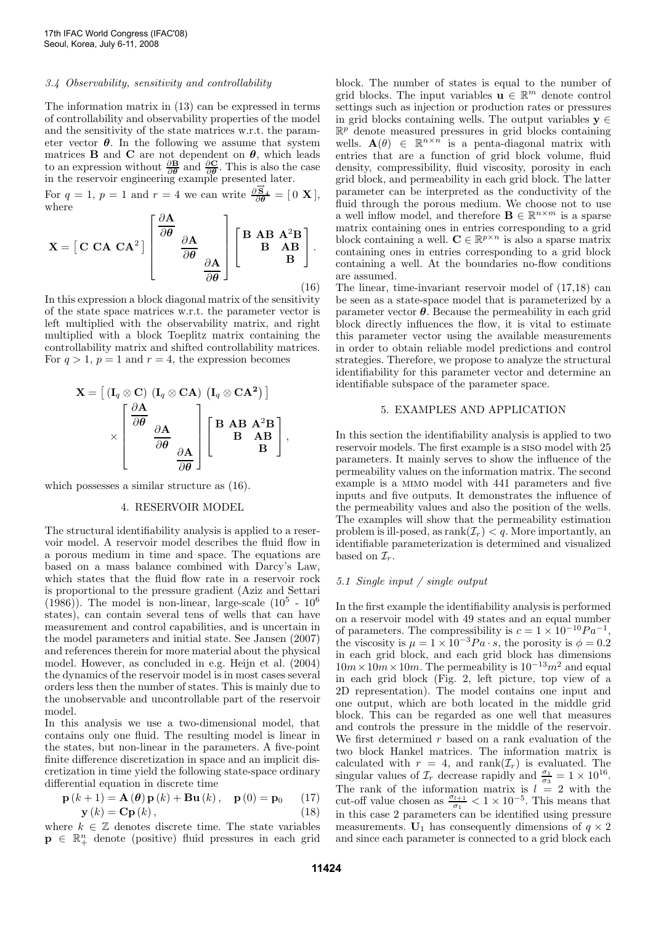## 3.4 Observability, sensitivity and controllability

The information matrix in (13) can be expressed in terms of controllability and observability properties of the model and the sensitivity of the state matrices w.r.t. the parameter vector  $\theta$ . In the following we assume that system matrices **B** and **C** are not dependent on  $\theta$ , which leads to an expression without  $\frac{\partial \mathbf{B}}{\partial \theta}$  and  $\frac{\partial \mathbf{C}}{\partial \theta}$ . This is also the case in the reservoir engineering example presented later.

For  $q = 1$ ,  $p = 1$  and  $r = 4$  we can write  $\frac{\partial \vec{S}_4}{\partial \theta} = [0 \; \mathbf{X}]$ , where

$$
\mathbf{X} = \begin{bmatrix} \mathbf{C} & \mathbf{C} \mathbf{A} & \mathbf{C} \mathbf{A}^2 \end{bmatrix} \begin{bmatrix} \frac{\partial \mathbf{A}}{\partial \theta} \\ \frac{\partial \mathbf{A}}{\partial \theta} \\ \frac{\partial \mathbf{A}}{\partial \theta} \end{bmatrix} \begin{bmatrix} \mathbf{B} & \mathbf{A} \mathbf{B} & \mathbf{A}^2 \mathbf{B} \\ \mathbf{B} & \mathbf{A} \mathbf{B} \\ \mathbf{B} & \mathbf{B} \end{bmatrix} .
$$
 (16)

In this expression a block diagonal matrix of the sensitivity of the state space matrices w.r.t. the parameter vector is left multiplied with the observability matrix, and right multiplied with a block Toeplitz matrix containing the controllability matrix and shifted controllability matrices. For  $q > 1$ ,  $p = 1$  and  $r = 4$ , the expression becomes

$$
\mathbf{X} = \left[ \begin{array}{c} (\mathbf{I}_q \otimes \mathbf{C}) \ (\mathbf{I}_q \otimes \mathbf{C}\mathbf{A}) \ (\mathbf{I}_q \otimes \mathbf{C}\mathbf{A}^2) \end{array} \right] \times \left[ \begin{array}{c} \frac{\partial \mathbf{A}}{\partial \theta} \\ \frac{\partial \mathbf{A}}{\partial \theta} \\ \frac{\partial \mathbf{A}}{\partial \theta} \end{array} \right] \left[ \begin{array}{ccc} \mathbf{B} & \mathbf{A}\mathbf{B} & \mathbf{A}^2\mathbf{B} \\ \mathbf{B} & \mathbf{A}\mathbf{B} \\ \mathbf{B} & \mathbf{B} \end{array} \right],
$$

which possesses a similar structure as (16).

## 4. RESERVOIR MODEL

The structural identifiability analysis is applied to a reservoir model. A reservoir model describes the fluid flow in a porous medium in time and space. The equations are based on a mass balance combined with Darcy's Law, which states that the fluid flow rate in a reservoir rock is proportional to the pressure gradient (Aziz and Settari (1986)). The model is non-linear, large-scale  $(10^5 - 10^6)$ states), can contain several tens of wells that can have measurement and control capabilities, and is uncertain in the model parameters and initial state. See Jansen (2007) and references therein for more material about the physical model. However, as concluded in e.g. Heijn et al. (2004) the dynamics of the reservoir model is in most cases several orders less then the number of states. This is mainly due to the unobservable and uncontrollable part of the reservoir model.

In this analysis we use a two-dimensional model, that contains only one fluid. The resulting model is linear in the states, but non-linear in the parameters. A five-point finite difference discretization in space and an implicit discretization in time yield the following state-space ordinary differential equation in discrete time

$$
\mathbf{p}(k+1) = \mathbf{A}(\boldsymbol{\theta})\mathbf{p}(k) + \mathbf{B}\mathbf{u}(k), \quad \mathbf{p}(0) = \mathbf{p}_0 \qquad (17)
$$
  

$$
\mathbf{y}(k) = \mathbf{C}\mathbf{p}(k), \qquad (18)
$$

where  $k \in \mathbb{Z}$  denotes discrete time. The state variables  $\mathbf{p} \in \mathbb{R}_+^n$  denote (positive) fluid pressures in each grid

block. The number of states is equal to the number of grid blocks. The input variables  $\mathbf{u} \in \mathbb{R}^m$  denote control settings such as injection or production rates or pressures in grid blocks containing wells. The output variables  $y \in$  $\mathbb{R}^p$  denote measured pressures in grid blocks containing wells.  $\mathbf{A}(\theta) \in \mathbb{R}^{n \times n}$  is a penta-diagonal matrix with entries that are a function of grid block volume, fluid density, compressibility, fluid viscosity, porosity in each grid block, and permeability in each grid block. The latter parameter can be interpreted as the conductivity of the fluid through the porous medium. We choose not to use a well inflow model, and therefore  $\mathbf{B} \in \mathbb{R}^{n \times m}$  is a sparse matrix containing ones in entries corresponding to a grid block containing a well.  $\mathbf{C} \in \mathbb{R}^{p \times n}$  is also a sparse matrix containing ones in entries corresponding to a grid block containing a well. At the boundaries no-flow conditions are assumed.

The linear, time-invariant reservoir model of (17,18) can be seen as a state-space model that is parameterized by a parameter vector  $\theta$ . Because the permeability in each grid block directly influences the flow, it is vital to estimate this parameter vector using the available measurements in order to obtain reliable model predictions and control strategies. Therefore, we propose to analyze the structural identifiability for this parameter vector and determine an identifiable subspace of the parameter space.

## 5. EXAMPLES AND APPLICATION

In this section the identifiability analysis is applied to two reservoir models. The first example is a siso model with 25 parameters. It mainly serves to show the influence of the permeability values on the information matrix. The second example is a mimo model with 441 parameters and five inputs and five outputs. It demonstrates the influence of the permeability values and also the position of the wells. The examples will show that the permeability estimation problem is ill-posed, as  $rank(\mathcal{I}_r) < q$ . More importantly, an identifiable parameterization is determined and visualized based on  $\mathcal{I}_r$ .

#### 5.1 Single input / single output

In the first example the identifiability analysis is performed on a reservoir model with 49 states and an equal number of parameters. The compressibility is  $c = 1 \times 10^{-10} Pa^{-1}$ , the viscosity is  $\mu = 1 \times 10^{-3} Pa \cdot s$ , the porosity is  $\phi = 0.2$ in each grid block, and each grid block has dimensions  $10m \times 10m \times 10m$ . The permeability is  $10^{-13}m^2$  and equal in each grid block (Fig. 2, left picture, top view of a 2D representation). The model contains one input and one output, which are both located in the middle grid block. This can be regarded as one well that measures and controls the pressure in the middle of the reservoir. We first determined  $r$  based on a rank evaluation of the two block Hankel matrices. The information matrix is calculated with  $r = 4$ , and rank $(\mathcal{I}_r)$  is evaluated. The singular values of  $\mathcal{I}_r$  decrease rapidly and  $\frac{\sigma_1}{\sigma_3} = 1 \times 10^{16}$ . The rank of the information matrix is  $l = 2$  with the cut-off value chosen as  $\frac{\sigma_{l+1}}{\sigma_l}$  $\frac{t_{i+1}}{\sigma_1} < 1 \times 10^{-5}$ . This means that in this case 2 parameters can be identified using pressure measurements.  $U_1$  has consequently dimensions of  $q \times 2$ and since each parameter is connected to a grid block each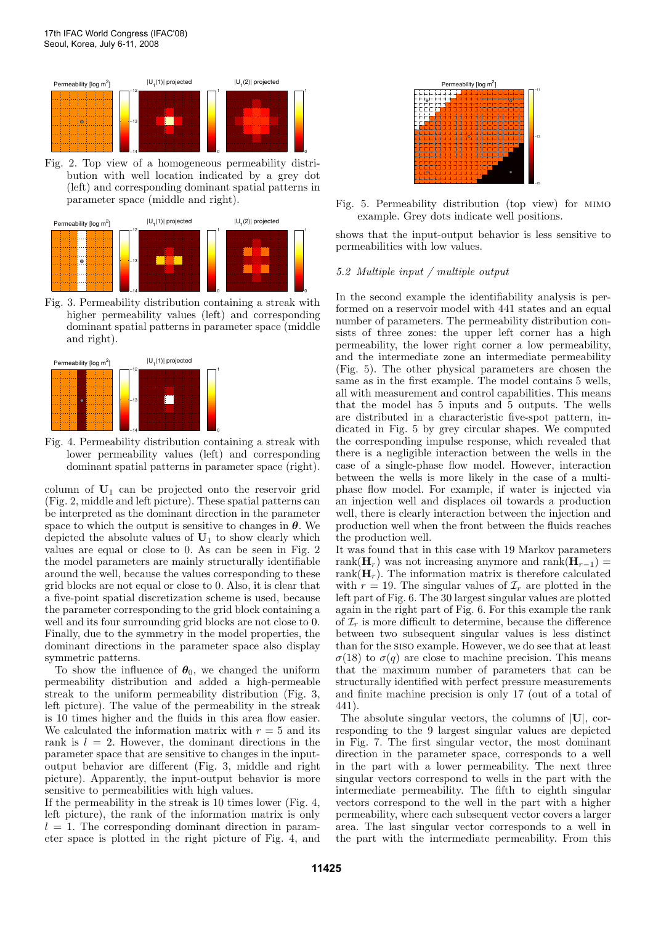

Fig. 2. Top view of a homogeneous permeability distribution with well location indicated by a grey dot (left) and corresponding dominant spatial patterns in parameter space (middle and right).



Fig. 3. Permeability distribution containing a streak with higher permeability values (left) and corresponding dominant spatial patterns in parameter space (middle and right).



Fig. 4. Permeability distribution containing a streak with lower permeability values (left) and corresponding dominant spatial patterns in parameter space (right).

column of  $U_1$  can be projected onto the reservoir grid (Fig. 2, middle and left picture). These spatial patterns can be interpreted as the dominant direction in the parameter space to which the output is sensitive to changes in  $\theta$ . We depicted the absolute values of  $U_1$  to show clearly which values are equal or close to 0. As can be seen in Fig. 2 the model parameters are mainly structurally identifiable around the well, because the values corresponding to these grid blocks are not equal or close to 0. Also, it is clear that a five-point spatial discretization scheme is used, because the parameter corresponding to the grid block containing a well and its four surrounding grid blocks are not close to 0. Finally, due to the symmetry in the model properties, the dominant directions in the parameter space also display symmetric patterns.

To show the influence of  $\theta_0$ , we changed the uniform permeability distribution and added a high-permeable streak to the uniform permeability distribution (Fig. 3, left picture). The value of the permeability in the streak is 10 times higher and the fluids in this area flow easier. We calculated the information matrix with  $r = 5$  and its rank is  $l = 2$ . However, the dominant directions in the parameter space that are sensitive to changes in the inputoutput behavior are different (Fig. 3, middle and right picture). Apparently, the input-output behavior is more sensitive to permeabilities with high values.

If the permeability in the streak is 10 times lower (Fig. 4, left picture), the rank of the information matrix is only  $l = 1$ . The corresponding dominant direction in parameter space is plotted in the right picture of Fig. 4, and



Fig. 5. Permeability distribution (top view) for mimo example. Grey dots indicate well positions.

shows that the input-output behavior is less sensitive to permeabilities with low values.

# 5.2 Multiple input / multiple output

In the second example the identifiability analysis is performed on a reservoir model with 441 states and an equal number of parameters. The permeability distribution consists of three zones: the upper left corner has a high permeability, the lower right corner a low permeability, and the intermediate zone an intermediate permeability (Fig. 5). The other physical parameters are chosen the same as in the first example. The model contains 5 wells, all with measurement and control capabilities. This means that the model has 5 inputs and 5 outputs. The wells are distributed in a characteristic five-spot pattern, indicated in Fig. 5 by grey circular shapes. We computed the corresponding impulse response, which revealed that there is a negligible interaction between the wells in the case of a single-phase flow model. However, interaction between the wells is more likely in the case of a multiphase flow model. For example, if water is injected via an injection well and displaces oil towards a production well, there is clearly interaction between the injection and production well when the front between the fluids reaches the production well.

It was found that in this case with 19 Markov parameters rank( $\mathbf{H}_r$ ) was not increasing anymore and rank( $\mathbf{H}_{r-1}$ ) = rank $(\mathbf{H}_r)$ . The information matrix is therefore calculated with  $r = 19$ . The singular values of  $\mathcal{I}_r$  are plotted in the left part of Fig. 6. The 30 largest singular values are plotted again in the right part of Fig. 6. For this example the rank of  $\mathcal{I}_r$  is more difficult to determine, because the difference between two subsequent singular values is less distinct than for the siso example. However, we do see that at least σ(18) to σ(q) are close to machine precision. This means that the maximum number of parameters that can be structurally identified with perfect pressure measurements and finite machine precision is only 17 (out of a total of 441).

The absolute singular vectors, the columns of  $|U|$ , corresponding to the 9 largest singular values are depicted in Fig. 7. The first singular vector, the most dominant direction in the parameter space, corresponds to a well in the part with a lower permeability. The next three singular vectors correspond to wells in the part with the intermediate permeability. The fifth to eighth singular vectors correspond to the well in the part with a higher permeability, where each subsequent vector covers a larger area. The last singular vector corresponds to a well in the part with the intermediate permeability. From this